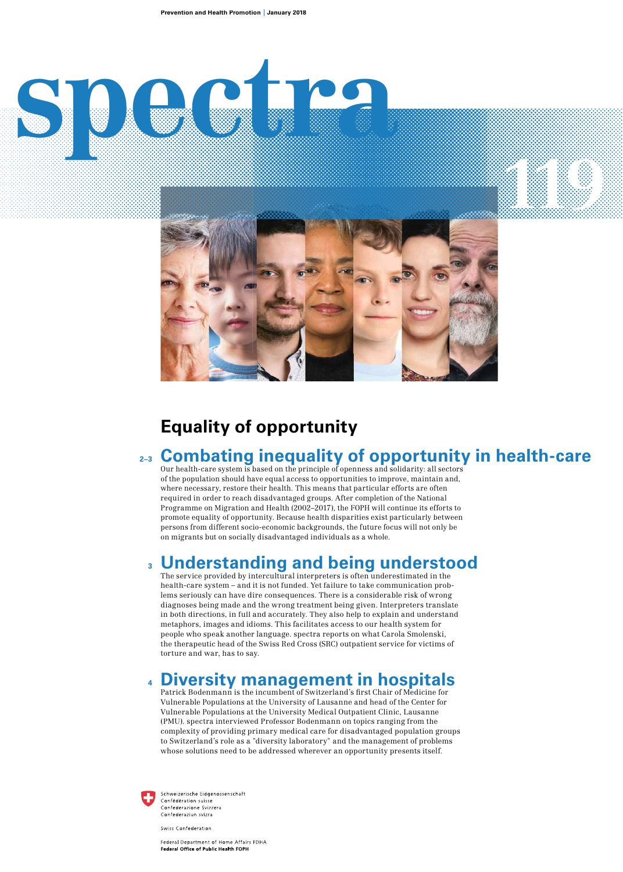# **spectra 119**



# **Equality of opportunity**

### **Combating inequality of opportunity in health-care 2–3**

Our health-care system is based on the principle of openness and solidarity: all sectors of the population should have equal access to opportunities to improve, maintain and, where necessary, restore their health. This means that particular efforts are often required in order to reach disadvantaged groups. After completion of the National Programme on Migration and Health (2002–2017), the FOPH will continue its efforts to promote equality of opportunity. Because health disparities exist particularly between persons from different socio-economic backgrounds, the future focus will not only be on migrants but on socially disadvantaged individuals as a whole.

### **Understanding and being understood 3**

The service provided by intercultural interpreters is often underestimated in the health-care system – and it is not funded. Yet failure to take communication problems seriously can have dire consequences. There is a considerable risk of wrong diagnoses being made and the wrong treatment being given. Interpreters translate in both directions, in full and accurately. They also help to explain and understand metaphors, images and idioms. This facilitates access to our health system for people who speak another language. spectra reports on what Carola Smolenski, the therapeutic head of the Swiss Red Cross (SRC) outpatient service for victims of torture and war, has to say.

### **Diversity management in hospitals 4**

Patrick Bodenmann is the incumbent of Switzerland's first Chair of Medicine for Vulnerable Populations at the University of Lausanne and head of the Center for Vulnerable Populations at the University Medical Outpatient Clinic, Lausanne (PMU). spectra interviewed Professor Bodenmann on topics ranging from the complexity of providing primary medical care for disadvantaged population groups to Switzerland's role as a "diversity laboratory" and the management of problems whose solutions need to be addressed wherever an opportunity presents itself.



Schweizerische Eidgenossenschaft Confédération suisse Confederation suisse<br>Confederazione Svizzera<br>Confederaziun svizra

Swiss Confederation

Federal Department of Home Affairs FDHA Federal Office of Public Health FOPH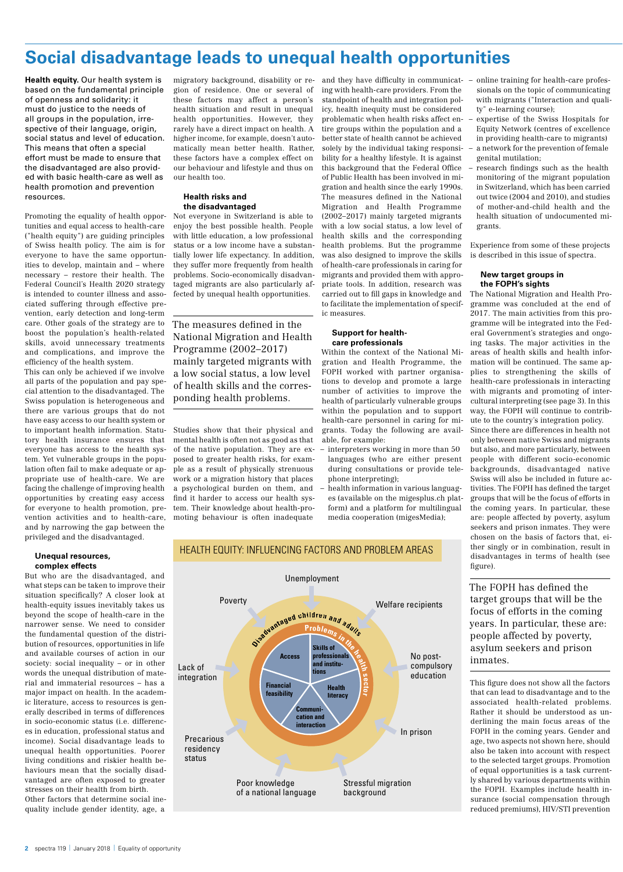# **Social disadvantage leads to unequal health opportunities**

**Health equity.** Our health system is based on the fundamental principle of openness and solidarity: it must do justice to the needs of all groups in the population, irrespective of their language, origin, social status and level of education. This means that often a special effort must be made to ensure that the disadvantaged are also provided with basic health-care as well as health promotion and prevention resources.

Promoting the equality of health opportunities and equal access to health-care ("health equity") are guiding principles of Swiss health policy. The aim is for everyone to have the same opportunities to develop, maintain and – where necessary – restore their health. The Federal Council's Health 2020 strategy is intended to counter illness and associated suffering through effective prevention, early detection and long-term care. Other goals of the strategy are to boost the population's health-related skills, avoid unnecessary treatments and complications, and improve the efficiency of the health system.

This can only be achieved if we involve all parts of the population and pay special attention to the disadvantaged. The Swiss population is heterogeneous and there are various groups that do not have easy access to our health system or to important health information. Statutory health insurance ensures that everyone has access to the health system. Yet vulnerable groups in the population often fail to make adequate or appropriate use of health-care. We are facing the challenge of improving health opportunities by creating easy access for everyone to health promotion, prevention activities and to health-care, and by narrowing the gap between the privileged and the disadvantaged.

### **Unequal resources, complex effects**

But who are the disadvantaged, and what steps can be taken to improve their situation specifically? A closer look at health-equity issues inevitably takes us beyond the scope of health-care in the narrower sense. We need to consider the fundamental question of the distribution of resources, opportunities in life and available courses of action in our society: social inequality – or in other words the unequal distribution of material and immaterial resources – has a major impact on health. In the academic literature, access to resources is generally described in terms of differences in socio-economic status (i.e. differences in education, professional status and income). Social disadvantage leads to unequal health opportunities. Poorer living conditions and riskier health behaviours mean that the socially disadvantaged are often exposed to greater stresses on their health from birth.

Other factors that determine social inequality include gender identity, age, a migratory background, disability or region of residence. One or several of these factors may affect a person's health situation and result in unequal health opportunities. However, they rarely have a direct impact on health. A higher income, for example, doesn't automatically mean better health. Rather, these factors have a complex effect on our behaviour and lifestyle and thus on our health too.

### **Health risks and the disadvantaged**

Not everyone in Switzerland is able to enjoy the best possible health. People with little education, a low professional status or a low income have a substantially lower life expectancy. In addition, they suffer more frequently from health problems. Socio-economically disadvantaged migrants are also particularly affected by unequal health opportunities.

The measures defined in the National Migration and Health Programme (2002–2017) mainly targeted migrants with a low social status, a low level of health skills and the corresponding health problems.

Studies show that their physical and mental health is often not as good as that of the native population. They are exposed to greater health risks, for example as a result of physically strenuous work or a migration history that places a psychological burden on them, and find it harder to access our health system. Their knowledge about health-promoting behaviour is often inadequate

and they have difficulty in communicat- $$ ing with health-care providers. From the standpoint of health and integration policy, health inequity must be considered problematic when health risks affect entire groups within the population and a better state of health cannot be achieved solely by the individual taking responsibility for a healthy lifestyle. It is against this background that the Federal Office of Public Health has been involved in migration and health since the early 1990s. The measures defined in the National Migration and Health Programme (2002–2017) mainly targeted migrants with a low social status, a low level of health skills and the corresponding health problems. But the programme was also designed to improve the skills of health-care professionals in caring for migrants and provided them with appropriate tools. In addition, research was carried out to fill gaps in knowledge and to facilitate the implementation of specific measures.

### **Support for healthcare professionals**

Within the context of the National Migration and Health Programme, the FOPH worked with partner organisations to develop and promote a large number of activities to improve the health of particularly vulnerable groups within the population and to support health-care personnel in caring for migrants. Today the following are available, for example:

- interpreters working in more than 50 languages (who are either present during consultations or provide telephone interpreting);
- health information in various languages (available on the migesplus.ch platform) and a platform for multilingual media cooperation (migesMedia);

Stressful migration background

- online training for health-care professionals on the topic of communicating with migrants ("Interaction and quality" e-learning course);
- expertise of the Swiss Hospitals for Equity Network (centres of excellence in providing health-care to migrants) – a network for the prevention of female genital mutilation;
- research findings such as the health monitoring of the migrant population in Switzerland, which has been carried out twice (2004 and 2010), and studies of mother-and-child health and the health situation of undocumented migrants.

Experience from some of these projects is described in this issue of spectra.

### **New target groups in the FOPH's sights**

The National Migration and Health Programme was concluded at the end of 2017. The main activities from this programme will be integrated into the Federal Government's strategies and ongoing tasks. The major activities in the areas of health skills and health information will be continued. The same applies to strengthening the skills of health-care professionals in interacting with migrants and promoting of intercultural interpreting (see page 3). In this way, the FOPH will continue to contribute to the country's integration policy.

Since there are differences in health not only between native Swiss and migrants but also, and more particularly, between people with different socio-economic backgrounds, disadvantaged native Swiss will also be included in future activities. The FOPH has defined the target groups that will be the focus of efforts in the coming years. In particular, these are: people affected by poverty, asylum seekers and prison inmates. They were chosen on the basis of factors that, either singly or in combination, result in disadvantages in terms of health (see figure).

The FOPH has defined the target groups that will be the focus of efforts in the coming years. In particular, these are: people affected by poverty, asylum seekers and prison inmates.

This figure does not show all the factors that can lead to disadvantage and to the associated health-related problems. Rather it should be understood as underlining the main focus areas of the FOPH in the coming years. Gender and age, two aspects not shown here, should also be taken into account with respect to the selected target groups. Promotion of equal opportunities is a task currently shared by various departments within the FOPH. Examples include health insurance (social compensation through reduced premiums), HIV/STI prevention

Welfare recipients Lack of integration Unemployment Poverty Precarious residency status No postcompulsory education In prison **Problems in the**<br>**Skills of**<br>**professionals**<br>**and institutionally sector** Sisabrantaged children and adults **Access Financial feasibility Communication and interaction Health literacy Skills of professionals and institutions**

> Poor knowledge of a national language

## HEALTH EQUITY: INFLUENCING FACTORS AND PROBLEM AREAS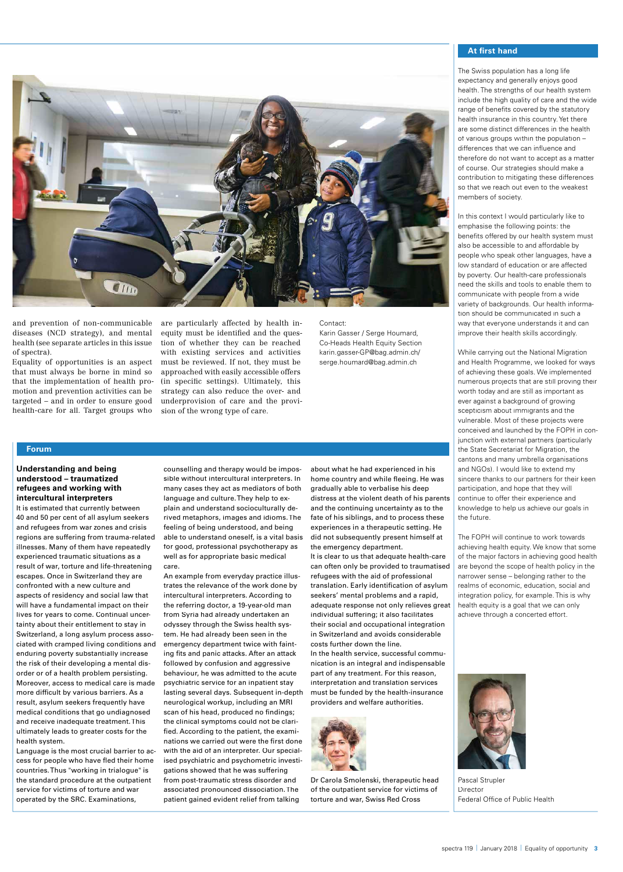

and prevention of non-communicable diseases (NCD strategy), and mental health (see separate articles in this issue of spectra).

Equality of opportunities is an aspect that must always be borne in mind so that the implementation of health promotion and prevention activities can be targeted – and in order to ensure good health-care for all. Target groups who

are particularly affected by health inequity must be identified and the question of whether they can be reached with existing services and activities must be reviewed. If not, they must be approached with easily accessible offers (in specific settings). Ultimately, this strategy can also reduce the over- and underprovision of care and the provision of the wrong type of care.

### Contact:

Karin Gasser / Serge Houmard, Co-Heads Health Equity Section karin.gasser-GP@bag.admin.ch/ serge.houmard@bag.admin.ch

### **Forum**

### **Understanding and being understood – traumatized refugees and working with intercultural interpreters**

It is estimated that currently between 40 and 50 per cent of all asylum seekers and refugees from war zones and crisis regions are suffering from trauma-related illnesses. Many of them have repeatedly experienced traumatic situations as a result of war, torture and life-threatening escapes. Once in Switzerland they are confronted with a new culture and aspects of residency and social law that will have a fundamental impact on their lives for years to come. Continual uncertainty about their entitlement to stay in Switzerland, a long asylum process associated with cramped living conditions and enduring poverty substantially increase the risk of their developing a mental disorder or of a health problem persisting. Moreover, access to medical care is made more difficult by various barriers. As a result, asylum seekers frequently have medical conditions that go undiagnosed and receive inadequate treatment. This ultimately leads to greater costs for the health system.

Language is the most crucial barrier to access for people who have fled their home countries. Thus "working in trialogue" is the standard procedure at the outpatient service for victims of torture and war operated by the SRC. Examinations,

counselling and therapy would be impossible without intercultural interpreters. In many cases they act as mediators of both language and culture. They help to explain and understand socioculturally derived metaphors, images and idioms. The feeling of being understood, and being able to understand oneself, is a vital basis for good, professional psychotherapy as well as for appropriate basic medical care.

An example from everyday practice illustrates the relevance of the work done by intercultural interpreters. According to the referring doctor, a 19-year-old man from Syria had already undertaken an odyssey through the Swiss health system. He had already been seen in the emergency department twice with fainting fits and panic attacks. After an attack followed by confusion and aggressive behaviour, he was admitted to the acute psychiatric service for an inpatient stay lasting several days. Subsequent in-depth neurological workup, including an MRI scan of his head, produced no findings; the clinical symptoms could not be clarified. According to the patient, the examinations we carried out were the first done with the aid of an interpreter. Our specialised psychiatric and psychometric investigations showed that he was suffering from post-traumatic stress disorder and associated pronounced dissociation. The patient gained evident relief from talking

about what he had experienced in his home country and while fleeing. He was gradually able to verbalise his deep distress at the violent death of his parents and the continuing uncertainty as to the fate of his siblings, and to process these experiences in a therapeutic setting. He did not subsequently present himself at the emergency department.

It is clear to us that adequate health-care can often only be provided to traumatised refugees with the aid of professional translation. Farly identification of asylum seekers' mental problems and a rapid, adequate response not only relieves great individual suffering; it also facilitates their social and occupational integration in Switzerland and avoids considerable costs further down the line.

In the health service, successful communication is an integral and indispensable part of any treatment. For this reason, interpretation and translation services must be funded by the health-insurance providers and welfare authorities.



Dr Carola Smolenski, therapeutic head of the outpatient service for victims of torture and war, Swiss Red Cross

### **At first hand**

The Swiss population has a long life expectancy and generally enjoys good health. The strengths of our health system include the high quality of care and the wide range of benefits covered by the statutory health insurance in this country. Yet there are some distinct differences in the health of various groups within the population – differences that we can influence and therefore do not want to accept as a matter of course. Our strategies should make a contribution to mitigating these differences so that we reach out even to the weakest members of society.

In this context I would particularly like to emphasise the following points: the benefits offered by our health system must also be accessible to and affordable by people who speak other languages, have a low standard of education or are affected by poverty. Our health-care professionals need the skills and tools to enable them to communicate with people from a wide variety of backgrounds. Our health information should be communicated in such a way that everyone understands it and can improve their health skills accordingly.

While carrying out the National Migration and Health Programme, we looked for ways of achieving these goals. We implemented numerous projects that are still proving their worth today and are still as important as ever against a background of growing scepticism about immigrants and the vulnerable. Most of these projects were conceived and launched by the FOPH in conjunction with external partners (particularly the State Secretariat for Migration, the cantons and many umbrella organisations and NGOs). I would like to extend my sincere thanks to our partners for their keen participation, and hope that they will continue to offer their experience and knowledge to help us achieve our goals in the future.

The FOPH will continue to work towards achieving health equity. We know that some of the major factors in achieving good health are beyond the scope of health policy in the narrower sense – belonging rather to the realms of economic, education, social and integration policy, for example. This is why health equity is a goal that we can only achieve through a concerted effort.



Pascal Strupler **Director** Federal Office of Public Health